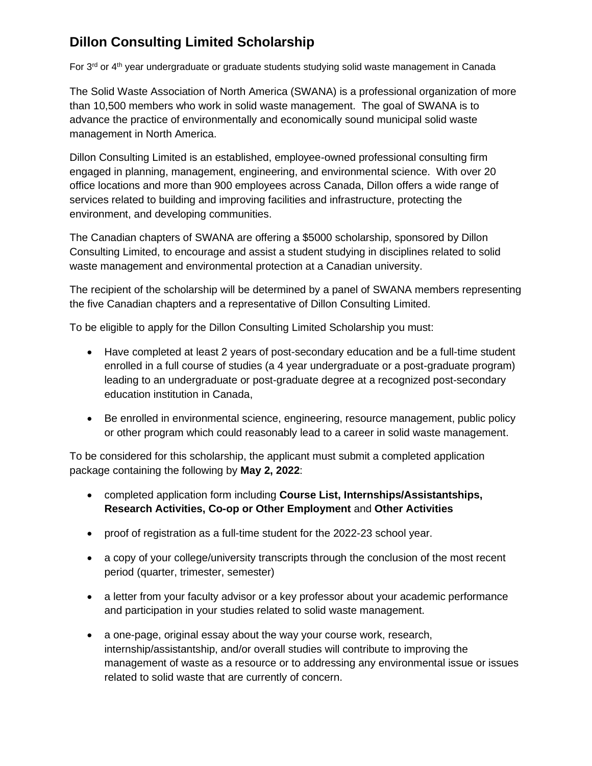### **Dillon Consulting Limited Scholarship**

For  $3<sup>rd</sup>$  or  $4<sup>th</sup>$  year undergraduate or graduate students studying solid waste management in Canada

The Solid Waste Association of North America (SWANA) is a professional organization of more than 10,500 members who work in solid waste management. The goal of SWANA is to advance the practice of environmentally and economically sound municipal solid waste management in North America.

Dillon Consulting Limited is an established, employee-owned professional consulting firm engaged in planning, management, engineering, and environmental science. With over 20 office locations and more than 900 employees across Canada, Dillon offers a wide range of services related to building and improving facilities and infrastructure, protecting the environment, and developing communities.

The Canadian chapters of SWANA are offering a \$5000 scholarship, sponsored by Dillon Consulting Limited, to encourage and assist a student studying in disciplines related to solid waste management and environmental protection at a Canadian university.

The recipient of the scholarship will be determined by a panel of SWANA members representing the five Canadian chapters and a representative of Dillon Consulting Limited.

To be eligible to apply for the Dillon Consulting Limited Scholarship you must:

- Have completed at least 2 years of post-secondary education and be a full-time student enrolled in a full course of studies (a 4 year undergraduate or a post-graduate program) leading to an undergraduate or post-graduate degree at a recognized post-secondary education institution in Canada,
- Be enrolled in environmental science, engineering, resource management, public policy or other program which could reasonably lead to a career in solid waste management.

To be considered for this scholarship, the applicant must submit a completed application package containing the following by **May 2, 2022**:

- completed application form including **Course List, Internships/Assistantships, Research Activities, Co-op or Other Employment** and **Other Activities**
- proof of registration as a full-time student for the 2022-23 school year.
- a copy of your college/university transcripts through the conclusion of the most recent period (quarter, trimester, semester)
- a letter from your faculty advisor or a key professor about your academic performance and participation in your studies related to solid waste management.
- a one-page, original essay about the way your course work, research, internship/assistantship, and/or overall studies will contribute to improving the management of waste as a resource or to addressing any environmental issue or issues related to solid waste that are currently of concern.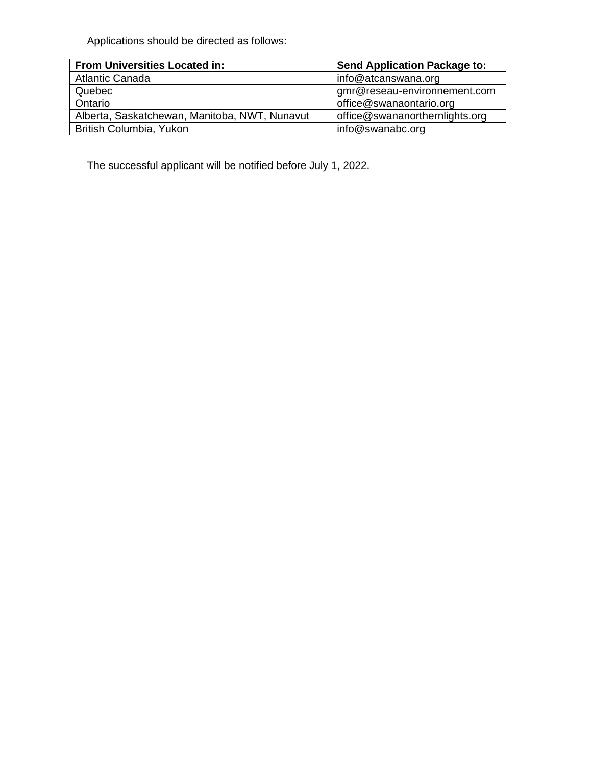Applications should be directed as follows:

| <b>From Universities Located in:</b>          | <b>Send Application Package to:</b> |
|-----------------------------------------------|-------------------------------------|
| <b>Atlantic Canada</b>                        | info@atcanswana.org                 |
| Quebec                                        | gmr@reseau-environnement.com        |
| Ontario                                       | office@swanaontario.org             |
| Alberta, Saskatchewan, Manitoba, NWT, Nunavut | office@swananorthernlights.org      |
| British Columbia, Yukon                       | info@swanabc.org                    |

The successful applicant will be notified before July 1, 2022.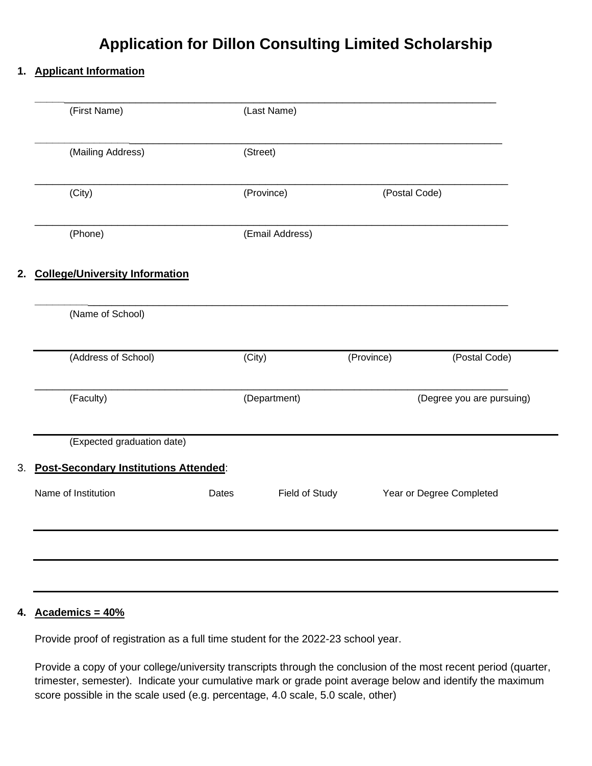### **Application for Dillon Consulting Limited Scholarship**

#### **1. Applicant Information**

| (First Name)        |                                          |       | (Last Name)         |               |                           |
|---------------------|------------------------------------------|-------|---------------------|---------------|---------------------------|
|                     | (Mailing Address)                        |       | (Street)            |               |                           |
| (City)              |                                          |       | (Province)          | (Postal Code) |                           |
| (Phone)             |                                          |       | (Email Address)     |               |                           |
|                     | 2. College/University Information        |       |                     |               |                           |
|                     | (Name of School)                         |       |                     |               |                           |
|                     | (Address of School)                      |       | $\overline{(City)}$ | (Province)    | (Postal Code)             |
| (Faculty)           |                                          |       | (Department)        |               | (Degree you are pursuing) |
|                     | (Expected graduation date)               |       |                     |               |                           |
|                     | 3. Post-Secondary Institutions Attended: |       |                     |               |                           |
| Name of Institution |                                          | Dates | Field of Study      |               | Year or Degree Completed  |
|                     |                                          |       |                     |               |                           |
|                     |                                          |       |                     |               |                           |

#### **4. Academics = 40%**

Provide proof of registration as a full time student for the 2022-23 school year.

Provide a copy of your college/university transcripts through the conclusion of the most recent period (quarter, trimester, semester). Indicate your cumulative mark or grade point average below and identify the maximum score possible in the scale used (e.g. percentage, 4.0 scale, 5.0 scale, other)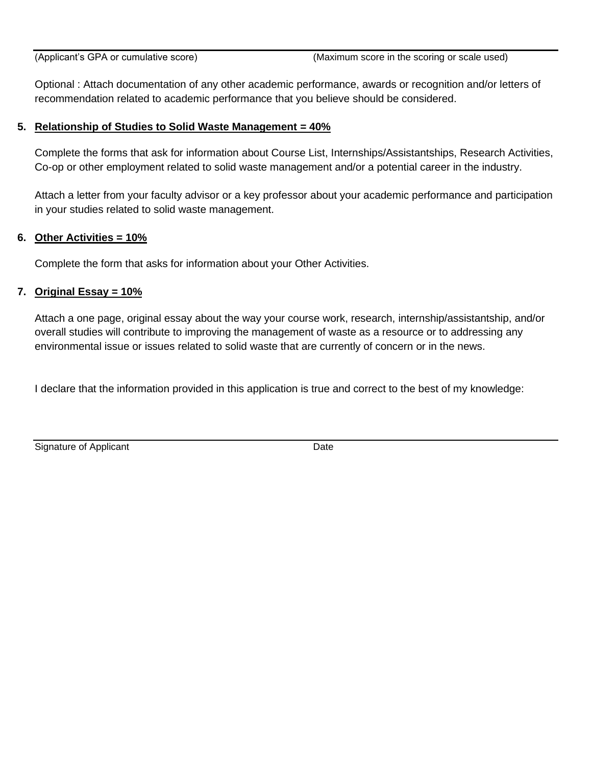Optional : Attach documentation of any other academic performance, awards or recognition and/or letters of recommendation related to academic performance that you believe should be considered.

#### **5. Relationship of Studies to Solid Waste Management = 40%**

Complete the forms that ask for information about Course List, Internships/Assistantships, Research Activities, Co-op or other employment related to solid waste management and/or a potential career in the industry.

Attach a letter from your faculty advisor or a key professor about your academic performance and participation in your studies related to solid waste management.

#### **6. Other Activities = 10%**

Complete the form that asks for information about your Other Activities.

#### **7. Original Essay = 10%**

Attach a one page, original essay about the way your course work, research, internship/assistantship, and/or overall studies will contribute to improving the management of waste as a resource or to addressing any environmental issue or issues related to solid waste that are currently of concern or in the news.

I declare that the information provided in this application is true and correct to the best of my knowledge:

Signature of Applicant Date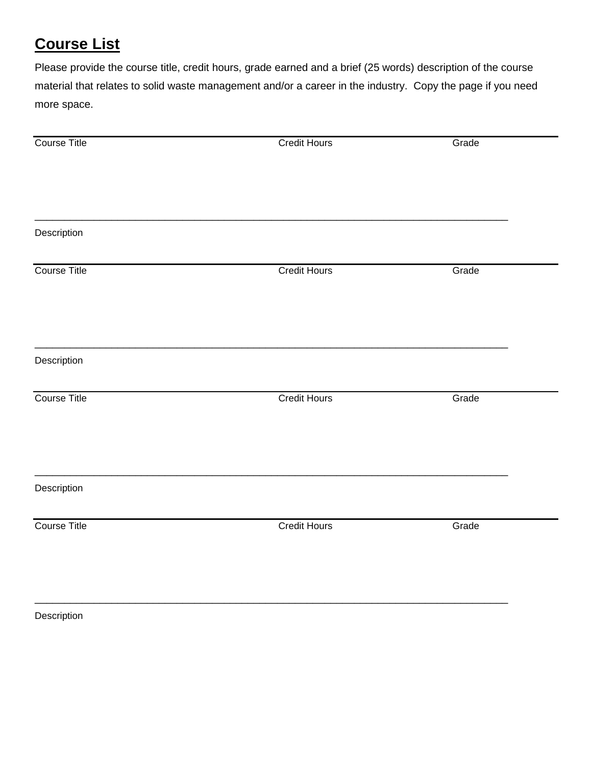# **Course List**

Please provide the course title, credit hours, grade earned and a brief (25 words) description of the course material that relates to solid waste management and/or a career in the industry. Copy the page if you need more space.

| Course Title        | <b>Credit Hours</b> | Grade |
|---------------------|---------------------|-------|
|                     |                     |       |
|                     |                     |       |
| Description         |                     |       |
| <b>Course Title</b> | <b>Credit Hours</b> | Grade |
|                     |                     |       |
| Description         |                     |       |
| <b>Course Title</b> | <b>Credit Hours</b> | Grade |
|                     |                     |       |
| Description         |                     |       |
| <b>Course Title</b> | <b>Credit Hours</b> | Grade |
|                     |                     |       |
|                     |                     |       |

\_\_\_\_\_\_\_\_\_\_\_\_\_\_\_\_\_\_\_\_\_\_\_\_\_\_\_\_\_\_\_\_\_\_\_\_\_\_\_\_\_\_\_\_\_\_\_\_\_\_\_\_\_\_\_\_\_\_\_\_\_\_\_\_\_\_\_\_\_\_\_\_\_\_\_\_\_\_\_\_

Description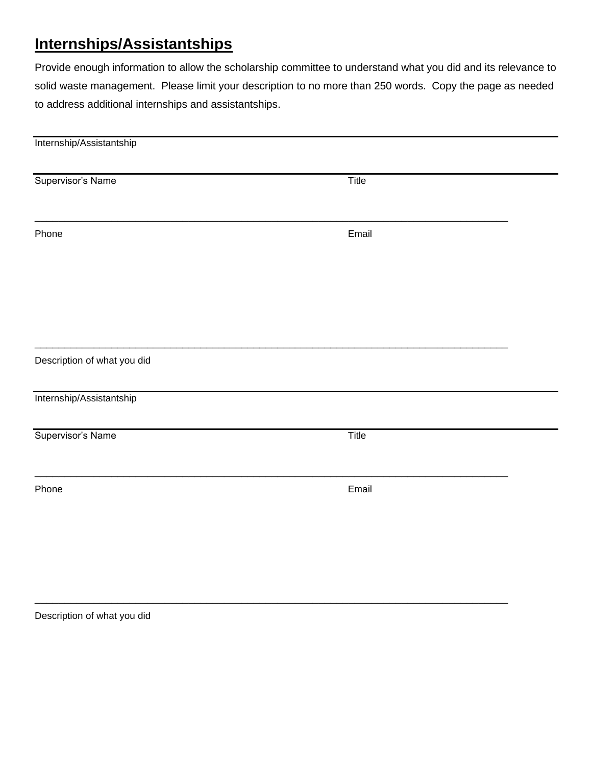### **Internships/Assistantships**

Provide enough information to allow the scholarship committee to understand what you did and its relevance to solid waste management. Please limit your description to no more than 250 words. Copy the page as needed to address additional internships and assistantships.

| Title |
|-------|
| Email |
|       |
|       |
|       |
|       |
| Title |
| Email |
|       |
|       |

\_\_\_\_\_\_\_\_\_\_\_\_\_\_\_\_\_\_\_\_\_\_\_\_\_\_\_\_\_\_\_\_\_\_\_\_\_\_\_\_\_\_\_\_\_\_\_\_\_\_\_\_\_\_\_\_\_\_\_\_\_\_\_\_\_\_\_\_\_\_\_\_\_\_\_\_\_\_\_\_

Description of what you did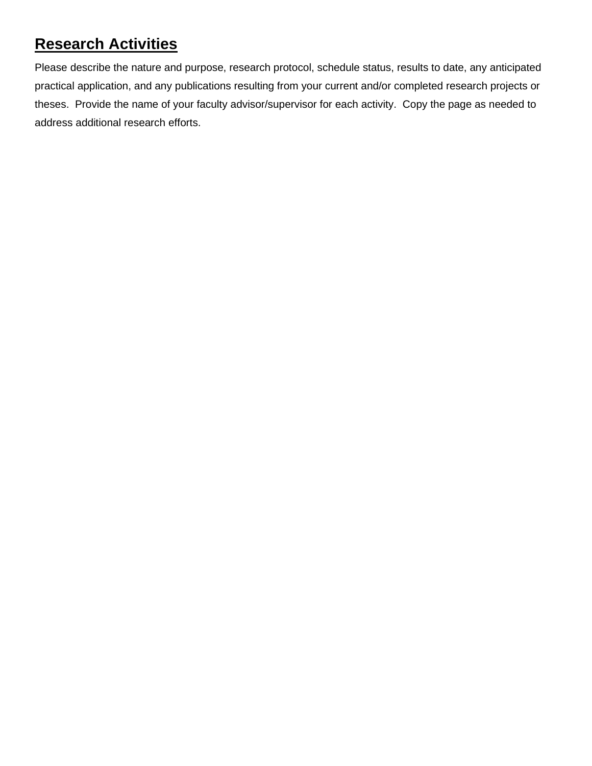## **Research Activities**

Please describe the nature and purpose, research protocol, schedule status, results to date, any anticipated practical application, and any publications resulting from your current and/or completed research projects or theses. Provide the name of your faculty advisor/supervisor for each activity. Copy the page as needed to address additional research efforts.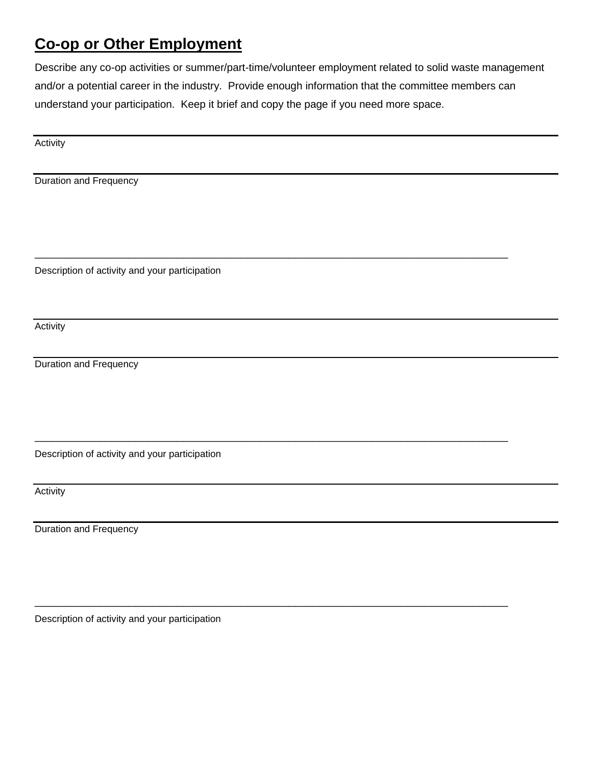### **Co-op or Other Employment**

Describe any co-op activities or summer/part-time/volunteer employment related to solid waste management and/or a potential career in the industry. Provide enough information that the committee members can understand your participation. Keep it brief and copy the page if you need more space.

\_\_\_\_\_\_\_\_\_\_\_\_\_\_\_\_\_\_\_\_\_\_\_\_\_\_\_\_\_\_\_\_\_\_\_\_\_\_\_\_\_\_\_\_\_\_\_\_\_\_\_\_\_\_\_\_\_\_\_\_\_\_\_\_\_\_\_\_\_\_\_\_\_\_\_\_\_\_\_\_

\_\_\_\_\_\_\_\_\_\_\_\_\_\_\_\_\_\_\_\_\_\_\_\_\_\_\_\_\_\_\_\_\_\_\_\_\_\_\_\_\_\_\_\_\_\_\_\_\_\_\_\_\_\_\_\_\_\_\_\_\_\_\_\_\_\_\_\_\_\_\_\_\_\_\_\_\_\_\_\_

\_\_\_\_\_\_\_\_\_\_\_\_\_\_\_\_\_\_\_\_\_\_\_\_\_\_\_\_\_\_\_\_\_\_\_\_\_\_\_\_\_\_\_\_\_\_\_\_\_\_\_\_\_\_\_\_\_\_\_\_\_\_\_\_\_\_\_\_\_\_\_\_\_\_\_\_\_\_\_\_

Activity

Duration and Frequency

Description of activity and your participation

Activity

Duration and Frequency

Description of activity and your participation

Activity

Duration and Frequency

Description of activity and your participation